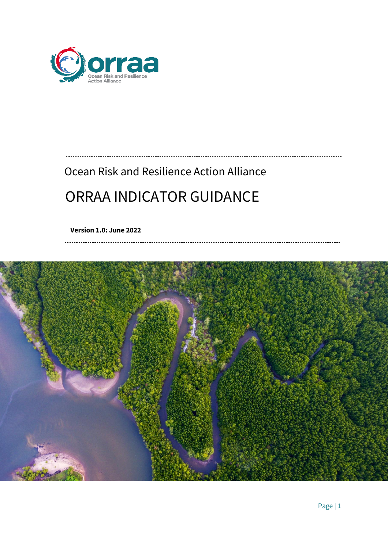

# Ocean Risk and Resilience Action Alliance ORRAA INDICATOR GUIDANCE

**Version 1.0: June 2022**

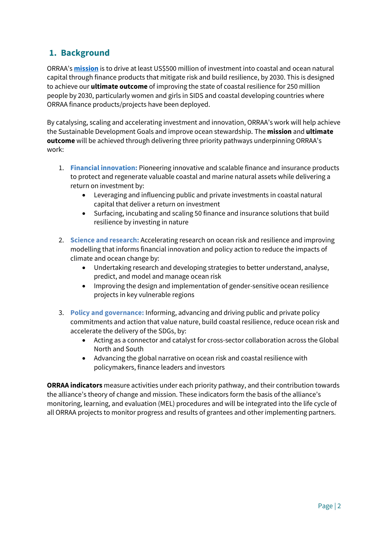### **1. Background**

ORRAA's **[mission](https://oceanriskalliance.org/what-we-do/)** is to drive at least US\$500 million of investment into coastal and ocean natural capital through finance products that mitigate risk and build resilience, by 2030. This is designed to achieve our **ultimate outcome** of improving the state of coastal resilience for 250 million people by 2030, particularly women and girls in SIDS and coastal developing countries where ORRAA finance products/projects have been deployed.

By catalysing, scaling and accelerating investment and innovation, ORRAA's work will help achieve the Sustainable Development Goals and improve ocean stewardship. The **mission** and **ultimate outcome** will be achieved through delivering three priority pathways underpinning ORRAA's work:

- 1. **Financial innovation:** Pioneering innovative and scalable finance and insurance products to protect and regenerate valuable coastal and marine natural assets while delivering a return on investment by:
	- Leveraging and influencing public and private investments in coastal natural capital that deliver a return on investment
	- Surfacing, incubating and scaling 50 finance and insurance solutions that build resilience by investing in nature
- 2. **Science and research:** Accelerating research on ocean risk and resilience and improving modelling that informs financial innovation and policy action to reduce the impacts of climate and ocean change by:
	- Undertaking research and developing strategies to better understand, analyse, predict, and model and manage ocean risk
	- Improving the design and implementation of gender-sensitive ocean resilience projects in key vulnerable regions
- 3. **Policy and governance:** Informing, advancing and driving public and private policy commitments and action that value nature, build coastal resilience, reduce ocean risk and accelerate the delivery of the SDGs, by:
	- Acting as a connector and catalyst for cross-sector collaboration across the Global North and South
	- Advancing the global narrative on ocean risk and coastal resilience with policymakers, finance leaders and investors

**ORRAA indicators** measure activities under each priority pathway, and their contribution towards the alliance's theory of change and mission. These indicators form the basis of the alliance's monitoring, learning, and evaluation (MEL) procedures and will be integrated into the life cycle of all ORRAA projects to monitor progress and results of grantees and other implementing partners.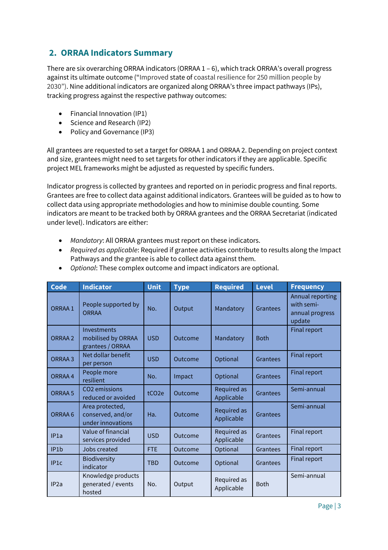#### **2. ORRAA Indicators Summary**

There are six overarching ORRAA indicators (ORRAA 1 – 6), which track ORRAA's overall progress against its ultimate outcome ("Improved state of coastal resilience for 250 million people by 2030"). Nine additional indicators are organized along ORRAA's three impact pathways (IPs), tracking progress against the respective pathway outcomes:

- Financial Innovation (IP1)
- Science and Research (IP2)
- Policy and Governance (IP3)

All grantees are requested to set a target for ORRAA 1 and ORRAA 2. Depending on project context and size, grantees might need to set targets for other indicators if they are applicable. Specific project MEL frameworks might be adjusted as requested by specific funders.

Indicator progress is collected by grantees and reported on in periodic progress and final reports. Grantees are free to collect data against additional indicators. Grantees will be guided as to how to collect data using appropriate methodologies and how to minimise double counting. Some indicators are meant to be tracked both by ORRAA grantees and the ORRAA Secretariat (indicated under level). Indicators are either:

- *Mandatory*: All ORRAA grantees must report on these indicators.
- *Required as applicable*: Required if grantee activities contribute to results along the Impact Pathways and the grantee is able to collect data against them.

| <b>Code</b>        | <b>Indicator</b>                                          | <b>Unit</b>       | <b>Type</b> | <b>Required</b>           | <b>Level</b> | <b>Frequency</b>                                            |
|--------------------|-----------------------------------------------------------|-------------------|-------------|---------------------------|--------------|-------------------------------------------------------------|
| ORRAA 1            | People supported by<br><b>ORRAA</b>                       | No.               | Output      | Mandatory                 | Grantees     | Annual reporting<br>with semi-<br>annual progress<br>update |
| ORRAA 2            | Investments<br>mobilised by ORRAA<br>grantees / ORRAA     | <b>USD</b>        | Outcome     | Mandatory                 | <b>Both</b>  | Final report                                                |
| ORRAA <sub>3</sub> | Net dollar benefit<br>per person                          | <b>USD</b>        | Outcome     | Optional                  | Grantees     | Final report                                                |
| ORRAA 4            | People more<br>resilient                                  | No.               | Impact      | Optional                  | Grantees     | <b>Final report</b>                                         |
| ORRAA 5            | CO <sub>2</sub> emissions<br>reduced or avoided           | tCO <sub>2e</sub> | Outcome     | Required as<br>Applicable | Grantees     | Semi-annual                                                 |
| ORRAA 6            | Area protected,<br>conserved, and/or<br>under innovations | Ha.               | Outcome     | Required as<br>Applicable | Grantees     | Semi-annual                                                 |
| IP <sub>1a</sub>   | Value of financial<br>services provided                   | <b>USD</b>        | Outcome     | Required as<br>Applicable | Grantees     | Final report                                                |
| IP <sub>1</sub> b  | Jobs created                                              | <b>FTE</b>        | Outcome     | Optional                  | Grantees     | Final report                                                |
| IP1c               | Biodiversity<br>indicator                                 | <b>TBD</b>        | Outcome     | Optional                  | Grantees     | Final report                                                |
| IP2a               | Knowledge products<br>generated / events<br>hosted        | No.               | Output      | Required as<br>Applicable | <b>Both</b>  | Semi-annual                                                 |

• *Optional*: These complex outcome and impact indicators are optional.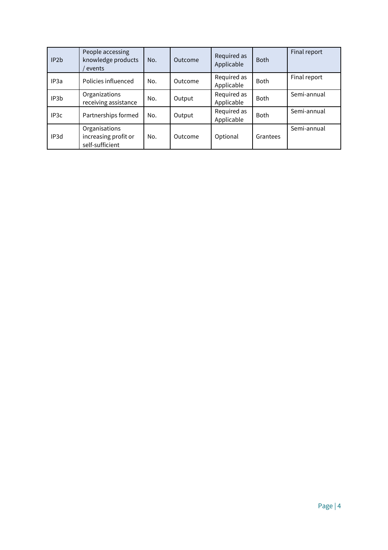| IP <sub>2</sub> b | People accessing<br>knowledge products<br>events         | No. | Outcome | Required as<br>Applicable | <b>Both</b> | Final report |
|-------------------|----------------------------------------------------------|-----|---------|---------------------------|-------------|--------------|
| IP <sub>3</sub> a | Policies influenced                                      | No. | Outcome | Required as<br>Applicable | <b>Both</b> | Final report |
| IP3b              | Organizations<br>receiving assistance                    | No. | Output  | Required as<br>Applicable | <b>Both</b> | Semi-annual  |
| IP <sub>3</sub> c | Partnerships formed                                      | No. | Output  | Required as<br>Applicable | <b>Both</b> | Semi-annual  |
| IP3d              | Organisations<br>increasing profit or<br>self-sufficient | No. | Outcome | Optional                  | Grantees    | Semi-annual  |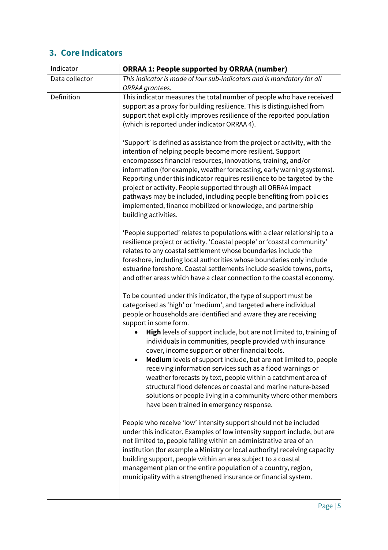## **3. Core Indicators**

| Indicator      | <b>ORRAA 1: People supported by ORRAA (number)</b>                                                                                                                                                                                                                                                                                                                                                                                                                                                                                                                                                                                                                                                                                                                                                             |
|----------------|----------------------------------------------------------------------------------------------------------------------------------------------------------------------------------------------------------------------------------------------------------------------------------------------------------------------------------------------------------------------------------------------------------------------------------------------------------------------------------------------------------------------------------------------------------------------------------------------------------------------------------------------------------------------------------------------------------------------------------------------------------------------------------------------------------------|
| Data collector | This indicator is made of four sub-indicators and is mandatory for all                                                                                                                                                                                                                                                                                                                                                                                                                                                                                                                                                                                                                                                                                                                                         |
| Definition     | ORRAA grantees.<br>This indicator measures the total number of people who have received<br>support as a proxy for building resilience. This is distinguished from<br>support that explicitly improves resilience of the reported population<br>(which is reported under indicator ORRAA 4).                                                                                                                                                                                                                                                                                                                                                                                                                                                                                                                    |
|                | 'Support' is defined as assistance from the project or activity, with the<br>intention of helping people become more resilient. Support<br>encompasses financial resources, innovations, training, and/or<br>information (for example, weather forecasting, early warning systems).<br>Reporting under this indicator requires resilience to be targeted by the<br>project or activity. People supported through all ORRAA impact<br>pathways may be included, including people benefiting from policies<br>implemented, finance mobilized or knowledge, and partnership<br>building activities.                                                                                                                                                                                                               |
|                | 'People supported' relates to populations with a clear relationship to a<br>resilience project or activity. 'Coastal people' or 'coastal community'<br>relates to any coastal settlement whose boundaries include the<br>foreshore, including local authorities whose boundaries only include<br>estuarine foreshore. Coastal settlements include seaside towns, ports,<br>and other areas which have a clear connection to the coastal economy.                                                                                                                                                                                                                                                                                                                                                               |
|                | To be counted under this indicator, the type of support must be<br>categorised as 'high' or 'medium', and targeted where individual<br>people or households are identified and aware they are receiving<br>support in some form.<br>High levels of support include, but are not limited to, training of<br>individuals in communities, people provided with insurance<br>cover, income support or other financial tools.<br><b>Medium</b> levels of support include, but are not limited to, people<br>receiving information services such as a flood warnings or<br>weather forecasts by text, people within a catchment area of<br>structural flood defences or coastal and marine nature-based<br>solutions or people living in a community where other members<br>have been trained in emergency response. |
|                | People who receive 'low' intensity support should not be included<br>under this indicator. Examples of low intensity support include, but are<br>not limited to, people falling within an administrative area of an<br>institution (for example a Ministry or local authority) receiving capacity<br>building support, people within an area subject to a coastal<br>management plan or the entire population of a country, region,<br>municipality with a strengthened insurance or financial system.                                                                                                                                                                                                                                                                                                         |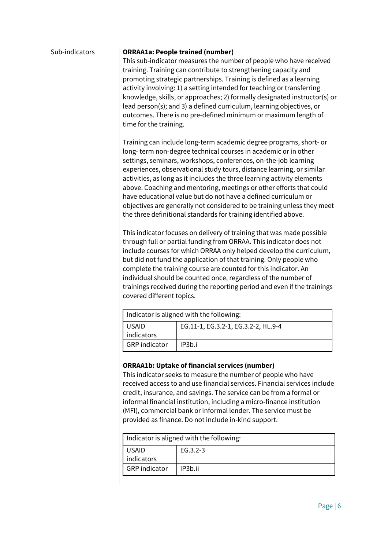| Sub-indicators |                                                                       | <b>ORRAA1a: People trained (number)</b>                                   |  |  |  |
|----------------|-----------------------------------------------------------------------|---------------------------------------------------------------------------|--|--|--|
|                |                                                                       | This sub-indicator measures the number of people who have received        |  |  |  |
|                |                                                                       | training. Training can contribute to strengthening capacity and           |  |  |  |
|                | promoting strategic partnerships. Training is defined as a learning   |                                                                           |  |  |  |
|                |                                                                       | activity involving: 1) a setting intended for teaching or transferring    |  |  |  |
|                |                                                                       | knowledge, skills, or approaches; 2) formally designated instructor(s) or |  |  |  |
|                |                                                                       | lead person(s); and 3) a defined curriculum, learning objectives, or      |  |  |  |
|                |                                                                       | outcomes. There is no pre-defined minimum or maximum length of            |  |  |  |
|                | time for the training.                                                |                                                                           |  |  |  |
|                |                                                                       |                                                                           |  |  |  |
|                |                                                                       | Training can include long-term academic degree programs, short- or        |  |  |  |
|                |                                                                       | long-term non-degree technical courses in academic or in other            |  |  |  |
|                |                                                                       | settings, seminars, workshops, conferences, on-the-job learning           |  |  |  |
|                |                                                                       |                                                                           |  |  |  |
|                |                                                                       | experiences, observational study tours, distance learning, or similar     |  |  |  |
|                |                                                                       | activities, as long as it includes the three learning activity elements   |  |  |  |
|                |                                                                       | above. Coaching and mentoring, meetings or other efforts that could       |  |  |  |
|                |                                                                       | have educational value but do not have a defined curriculum or            |  |  |  |
|                |                                                                       | objectives are generally not considered to be training unless they meet   |  |  |  |
|                |                                                                       | the three definitional standards for training identified above.           |  |  |  |
|                |                                                                       | This indicator focuses on delivery of training that was made possible     |  |  |  |
|                |                                                                       |                                                                           |  |  |  |
|                |                                                                       | through full or partial funding from ORRAA. This indicator does not       |  |  |  |
|                |                                                                       | include courses for which ORRAA only helped develop the curriculum,       |  |  |  |
|                |                                                                       | but did not fund the application of that training. Only people who        |  |  |  |
|                |                                                                       | complete the training course are counted for this indicator. An           |  |  |  |
|                |                                                                       | individual should be counted once, regardless of the number of            |  |  |  |
|                |                                                                       | trainings received during the reporting period and even if the trainings  |  |  |  |
|                | covered different topics.                                             |                                                                           |  |  |  |
|                |                                                                       | Indicator is aligned with the following:                                  |  |  |  |
|                | <b>USAID</b>                                                          | EG.11-1, EG.3.2-1, EG.3.2-2, HL.9-4                                       |  |  |  |
|                | indicators                                                            |                                                                           |  |  |  |
|                | <b>GRP</b> indicator                                                  | IP3b.i                                                                    |  |  |  |
|                |                                                                       |                                                                           |  |  |  |
|                |                                                                       | <b>ORRAA1b: Uptake of financial services (number)</b>                     |  |  |  |
|                |                                                                       | This indicator seeks to measure the number of people who have             |  |  |  |
|                |                                                                       | received access to and use financial services. Financial services include |  |  |  |
|                |                                                                       | credit, insurance, and savings. The service can be from a formal or       |  |  |  |
|                | informal financial institution, including a micro-finance institution |                                                                           |  |  |  |
|                | (MFI), commercial bank or informal lender. The service must be        |                                                                           |  |  |  |
|                | provided as finance. Do not include in-kind support.                  |                                                                           |  |  |  |
|                |                                                                       |                                                                           |  |  |  |
|                |                                                                       | Indicator is aligned with the following:                                  |  |  |  |
|                | <b>USAID</b>                                                          | EG.3.2-3                                                                  |  |  |  |
|                | indicators                                                            |                                                                           |  |  |  |
|                | <b>GRP</b> indicator                                                  | IP3b.ii                                                                   |  |  |  |
|                |                                                                       |                                                                           |  |  |  |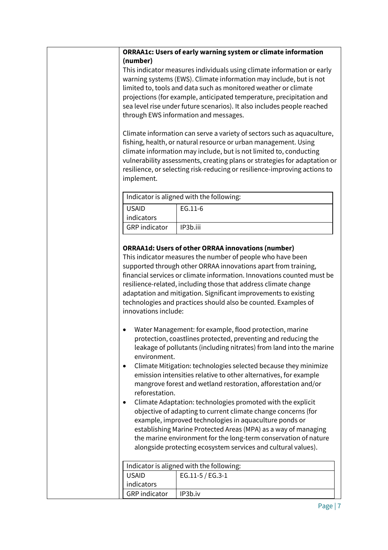|                                                                                 | ORRAA1c: Users of early warning system or climate information                                                                                                                                                                                                                                                                                                                                                                                                                                                                          |  |
|---------------------------------------------------------------------------------|----------------------------------------------------------------------------------------------------------------------------------------------------------------------------------------------------------------------------------------------------------------------------------------------------------------------------------------------------------------------------------------------------------------------------------------------------------------------------------------------------------------------------------------|--|
| (number)                                                                        |                                                                                                                                                                                                                                                                                                                                                                                                                                                                                                                                        |  |
| This indicator measures individuals using climate information or early          |                                                                                                                                                                                                                                                                                                                                                                                                                                                                                                                                        |  |
| warning systems (EWS). Climate information may include, but is not              |                                                                                                                                                                                                                                                                                                                                                                                                                                                                                                                                        |  |
|                                                                                 | limited to, tools and data such as monitored weather or climate                                                                                                                                                                                                                                                                                                                                                                                                                                                                        |  |
|                                                                                 | projections (for example, anticipated temperature, precipitation and<br>sea level rise under future scenarios). It also includes people reached                                                                                                                                                                                                                                                                                                                                                                                        |  |
|                                                                                 | through EWS information and messages.                                                                                                                                                                                                                                                                                                                                                                                                                                                                                                  |  |
|                                                                                 |                                                                                                                                                                                                                                                                                                                                                                                                                                                                                                                                        |  |
|                                                                                 | Climate information can serve a variety of sectors such as aquaculture,                                                                                                                                                                                                                                                                                                                                                                                                                                                                |  |
|                                                                                 | fishing, health, or natural resource or urban management. Using                                                                                                                                                                                                                                                                                                                                                                                                                                                                        |  |
|                                                                                 | climate information may include, but is not limited to, conducting                                                                                                                                                                                                                                                                                                                                                                                                                                                                     |  |
|                                                                                 | vulnerability assessments, creating plans or strategies for adaptation or                                                                                                                                                                                                                                                                                                                                                                                                                                                              |  |
|                                                                                 | resilience, or selecting risk-reducing or resilience-improving actions to                                                                                                                                                                                                                                                                                                                                                                                                                                                              |  |
| implement.                                                                      |                                                                                                                                                                                                                                                                                                                                                                                                                                                                                                                                        |  |
|                                                                                 | Indicator is aligned with the following:                                                                                                                                                                                                                                                                                                                                                                                                                                                                                               |  |
| <b>USAID</b>                                                                    | EG.11-6                                                                                                                                                                                                                                                                                                                                                                                                                                                                                                                                |  |
| indicators                                                                      |                                                                                                                                                                                                                                                                                                                                                                                                                                                                                                                                        |  |
| <b>GRP</b> indicator                                                            | IP3b.iii                                                                                                                                                                                                                                                                                                                                                                                                                                                                                                                               |  |
|                                                                                 |                                                                                                                                                                                                                                                                                                                                                                                                                                                                                                                                        |  |
| innovations include:                                                            | <b>ORRAA1d: Users of other ORRAA innovations (number)</b><br>This indicator measures the number of people who have been<br>supported through other ORRAA innovations apart from training,<br>financial services or climate information. Innovations counted must be<br>resilience-related, including those that address climate change<br>adaptation and mitigation. Significant improvements to existing<br>technologies and practices should also be counted. Examples of<br>Water Management: for example, flood protection, marine |  |
| environment.                                                                    | protection, coastlines protected, preventing and reducing the<br>leakage of pollutants (including nitrates) from land into the marine                                                                                                                                                                                                                                                                                                                                                                                                  |  |
| ٠                                                                               | Climate Mitigation: technologies selected because they minimize                                                                                                                                                                                                                                                                                                                                                                                                                                                                        |  |
| emission intensities relative to other alternatives, for example                |                                                                                                                                                                                                                                                                                                                                                                                                                                                                                                                                        |  |
| mangrove forest and wetland restoration, afforestation and/or<br>reforestation. |                                                                                                                                                                                                                                                                                                                                                                                                                                                                                                                                        |  |
|                                                                                 | Climate Adaptation: technologies promoted with the explicit                                                                                                                                                                                                                                                                                                                                                                                                                                                                            |  |
|                                                                                 | objective of adapting to current climate change concerns (for                                                                                                                                                                                                                                                                                                                                                                                                                                                                          |  |
|                                                                                 | example, improved technologies in aquaculture ponds or                                                                                                                                                                                                                                                                                                                                                                                                                                                                                 |  |
|                                                                                 | establishing Marine Protected Areas (MPA) as a way of managing                                                                                                                                                                                                                                                                                                                                                                                                                                                                         |  |
|                                                                                 | the marine environment for the long-term conservation of nature                                                                                                                                                                                                                                                                                                                                                                                                                                                                        |  |
| alongside protecting ecosystem services and cultural values).                   |                                                                                                                                                                                                                                                                                                                                                                                                                                                                                                                                        |  |
|                                                                                 |                                                                                                                                                                                                                                                                                                                                                                                                                                                                                                                                        |  |
|                                                                                 | Indicator is aligned with the following:                                                                                                                                                                                                                                                                                                                                                                                                                                                                                               |  |
| <b>USAID</b><br>indicators                                                      | EG.11-5 / EG.3-1                                                                                                                                                                                                                                                                                                                                                                                                                                                                                                                       |  |
| <b>GRP</b> indicator                                                            | IP3b.iv                                                                                                                                                                                                                                                                                                                                                                                                                                                                                                                                |  |
|                                                                                 |                                                                                                                                                                                                                                                                                                                                                                                                                                                                                                                                        |  |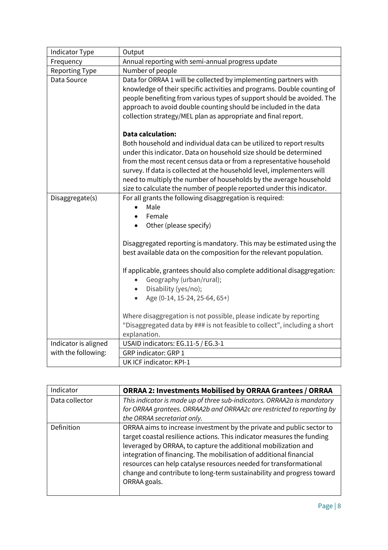| Indicator Type        | Output                                                                                                                                                                                                                                                                                                                                                                                                                                                                |  |  |
|-----------------------|-----------------------------------------------------------------------------------------------------------------------------------------------------------------------------------------------------------------------------------------------------------------------------------------------------------------------------------------------------------------------------------------------------------------------------------------------------------------------|--|--|
| Frequency             | Annual reporting with semi-annual progress update                                                                                                                                                                                                                                                                                                                                                                                                                     |  |  |
| <b>Reporting Type</b> | Number of people                                                                                                                                                                                                                                                                                                                                                                                                                                                      |  |  |
| Data Source           | Data for ORRAA 1 will be collected by implementing partners with<br>knowledge of their specific activities and programs. Double counting of<br>people benefiting from various types of support should be avoided. The<br>approach to avoid double counting should be included in the data<br>collection strategy/MEL plan as appropriate and final report.                                                                                                            |  |  |
|                       | <b>Data calculation:</b><br>Both household and individual data can be utilized to report results<br>under this indicator. Data on household size should be determined<br>from the most recent census data or from a representative household<br>survey. If data is collected at the household level, implementers will<br>need to multiply the number of households by the average household<br>size to calculate the number of people reported under this indicator. |  |  |
| Disaggregate(s)       | For all grants the following disaggregation is required:<br>Male<br>Female<br>Other (please specify)<br>Disaggregated reporting is mandatory. This may be estimated using the<br>best available data on the composition for the relevant population.<br>If applicable, grantees should also complete additional disaggregation:<br>Geography (urban/rural);<br>Disability (yes/no);<br>Age (0-14, 15-24, 25-64, 65+)                                                  |  |  |
|                       | Where disaggregation is not possible, please indicate by reporting<br>"Disaggregated data by ### is not feasible to collect", including a short<br>explanation.                                                                                                                                                                                                                                                                                                       |  |  |
| Indicator is aligned  | USAID indicators: EG.11-5 / EG.3-1                                                                                                                                                                                                                                                                                                                                                                                                                                    |  |  |
| with the following:   | GRP indicator: GRP 1                                                                                                                                                                                                                                                                                                                                                                                                                                                  |  |  |
|                       | UK ICF indicator: KPI-1                                                                                                                                                                                                                                                                                                                                                                                                                                               |  |  |

| Indicator      | <b>ORRAA 2: Investments Mobilised by ORRAA Grantees / ORRAA</b>                                                                                                                                                                                                                                                                                                                                                                                       |
|----------------|-------------------------------------------------------------------------------------------------------------------------------------------------------------------------------------------------------------------------------------------------------------------------------------------------------------------------------------------------------------------------------------------------------------------------------------------------------|
| Data collector | This indicator is made up of three sub-indicators. ORRAA2a is mandatory<br>for ORRAA grantees. ORRAA2b and ORRAA2c are restricted to reporting by<br>the ORRAA secretariat only.                                                                                                                                                                                                                                                                      |
| Definition     | ORRAA aims to increase investment by the private and public sector to<br>target coastal resilience actions. This indicator measures the funding<br>leveraged by ORRAA, to capture the additional mobilization and<br>integration of financing. The mobilisation of additional financial<br>resources can help catalyse resources needed for transformational<br>change and contribute to long-term sustainability and progress toward<br>ORRAA goals. |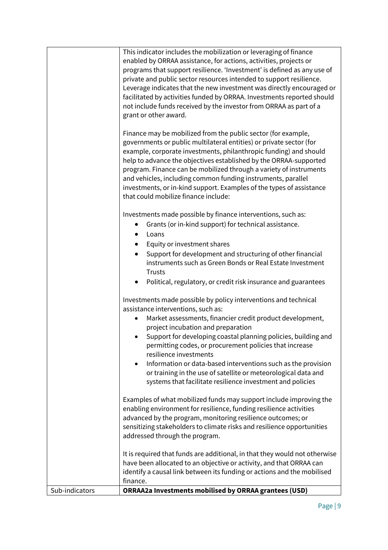|                | This indicator includes the mobilization or leveraging of finance<br>enabled by ORRAA assistance, for actions, activities, projects or<br>programs that support resilience. 'Investment' is defined as any use of<br>private and public sector resources intended to support resilience.<br>Leverage indicates that the new investment was directly encouraged or<br>facilitated by activities funded by ORRAA. Investments reported should<br>not include funds received by the investor from ORRAA as part of a<br>grant or other award. |
|----------------|--------------------------------------------------------------------------------------------------------------------------------------------------------------------------------------------------------------------------------------------------------------------------------------------------------------------------------------------------------------------------------------------------------------------------------------------------------------------------------------------------------------------------------------------|
|                | Finance may be mobilized from the public sector (for example,<br>governments or public multilateral entities) or private sector (for<br>example, corporate investments, philanthropic funding) and should<br>help to advance the objectives established by the ORRAA-supported<br>program. Finance can be mobilized through a variety of instruments<br>and vehicles, including common funding instruments, parallel<br>investments, or in-kind support. Examples of the types of assistance<br>that could mobilize finance include:       |
|                | Investments made possible by finance interventions, such as:<br>Grants (or in-kind support) for technical assistance.<br>Loans<br>Equity or investment shares<br>Support for development and structuring of other financial<br>instruments such as Green Bonds or Real Estate Investment                                                                                                                                                                                                                                                   |
|                | <b>Trusts</b><br>Political, regulatory, or credit risk insurance and guarantees<br>$\bullet$                                                                                                                                                                                                                                                                                                                                                                                                                                               |
|                | Investments made possible by policy interventions and technical<br>assistance interventions, such as:<br>Market assessments, financier credit product development,<br>project incubation and preparation<br>Support for developing coastal planning policies, building and<br>permitting codes, or procurement policies that increase                                                                                                                                                                                                      |
|                | resilience investments<br>Information or data-based interventions such as the provision<br>$\bullet$<br>or training in the use of satellite or meteorological data and<br>systems that facilitate resilience investment and policies                                                                                                                                                                                                                                                                                                       |
|                | Examples of what mobilized funds may support include improving the<br>enabling environment for resilience, funding resilience activities<br>advanced by the program, monitoring resilience outcomes; or<br>sensitizing stakeholders to climate risks and resilience opportunities<br>addressed through the program.                                                                                                                                                                                                                        |
|                | It is required that funds are additional, in that they would not otherwise<br>have been allocated to an objective or activity, and that ORRAA can<br>identify a causal link between its funding or actions and the mobilised<br>finance.                                                                                                                                                                                                                                                                                                   |
| Sub-indicators | <b>ORRAA2a Investments mobilised by ORRAA grantees (USD)</b>                                                                                                                                                                                                                                                                                                                                                                                                                                                                               |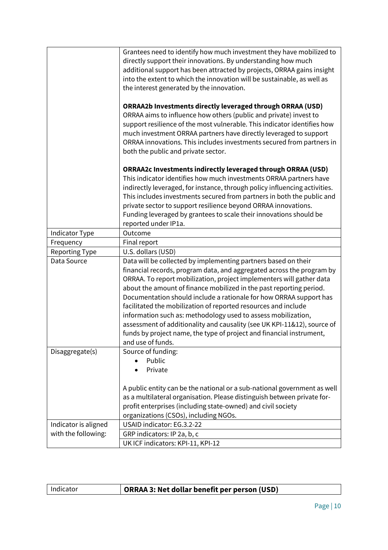|                       | Grantees need to identify how much investment they have mobilized to       |
|-----------------------|----------------------------------------------------------------------------|
|                       | directly support their innovations. By understanding how much              |
|                       | additional support has been attracted by projects, ORRAA gains insight     |
|                       | into the extent to which the innovation will be sustainable, as well as    |
|                       | the interest generated by the innovation.                                  |
|                       |                                                                            |
|                       | <b>ORRAA2b Investments directly leveraged through ORRAA (USD)</b>          |
|                       | ORRAA aims to influence how others (public and private) invest to          |
|                       | support resilience of the most vulnerable. This indicator identifies how   |
|                       | much investment ORRAA partners have directly leveraged to support          |
|                       | ORRAA innovations. This includes investments secured from partners in      |
|                       | both the public and private sector.                                        |
|                       |                                                                            |
|                       | <b>ORRAA2c Investments indirectly leveraged through ORRAA (USD)</b>        |
|                       | This indicator identifies how much investments ORRAA partners have         |
|                       | indirectly leveraged, for instance, through policy influencing activities. |
|                       | This includes investments secured from partners in both the public and     |
|                       | private sector to support resilience beyond ORRAA innovations.             |
|                       | Funding leveraged by grantees to scale their innovations should be         |
|                       | reported under IP1a.                                                       |
| Indicator Type        | Outcome                                                                    |
| Frequency             | Final report                                                               |
| <b>Reporting Type</b> | U.S. dollars (USD)                                                         |
| Data Source           | Data will be collected by implementing partners based on their             |
|                       | financial records, program data, and aggregated across the program by      |
|                       | ORRAA. To report mobilization, project implementers will gather data       |
|                       | about the amount of finance mobilized in the past reporting period.        |
|                       | Documentation should include a rationale for how ORRAA support has         |
|                       | facilitated the mobilization of reported resources and include             |
|                       | information such as: methodology used to assess mobilization,              |
|                       | assessment of additionality and causality (see UK KPI-11&12), source of    |
|                       | funds by project name, the type of project and financial instrument,       |
|                       | and use of funds.                                                          |
| Disaggregate(s)       | Source of funding:                                                         |
|                       | Public                                                                     |
|                       | Private                                                                    |
|                       |                                                                            |
|                       | A public entity can be the national or a sub-national government as well   |
|                       | as a multilateral organisation. Please distinguish between private for-    |
|                       | profit enterprises (including state-owned) and civil society               |
|                       | organizations (CSOs), including NGOs.                                      |
| Indicator is aligned  | USAID indicator: EG.3.2-22                                                 |
| with the following:   | GRP indicators: IP 2a, b, c                                                |
|                       | UK ICF indicators: KPI-11, KPI-12                                          |

| Indicator | ORRAA 3: Net dollar benefit per person (USD) |
|-----------|----------------------------------------------|
|           |                                              |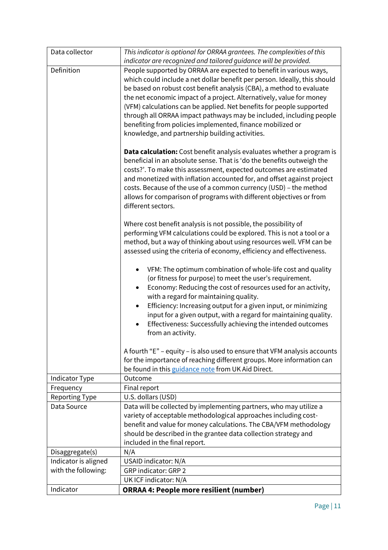| Data collector        | This indicator is optional for ORRAA grantees. The complexities of this                                                                                                                                                                                                                                                                                                                                                                                                                |
|-----------------------|----------------------------------------------------------------------------------------------------------------------------------------------------------------------------------------------------------------------------------------------------------------------------------------------------------------------------------------------------------------------------------------------------------------------------------------------------------------------------------------|
|                       | indicator are recognized and tailored guidance will be provided.                                                                                                                                                                                                                                                                                                                                                                                                                       |
| Definition            | People supported by ORRAA are expected to benefit in various ways,<br>which could include a net dollar benefit per person. Ideally, this should<br>be based on robust cost benefit analysis (CBA), a method to evaluate<br>the net economic impact of a project. Alternatively, value for money<br>(VFM) calculations can be applied. Net benefits for people supported                                                                                                                |
|                       | through all ORRAA impact pathways may be included, including people<br>benefiting from policies implemented, finance mobilized or<br>knowledge, and partnership building activities.                                                                                                                                                                                                                                                                                                   |
|                       | <b>Data calculation:</b> Cost benefit analysis evaluates whether a program is<br>beneficial in an absolute sense. That is 'do the benefits outweigh the<br>costs?'. To make this assessment, expected outcomes are estimated<br>and monetized with inflation accounted for, and offset against project<br>costs. Because of the use of a common currency (USD) - the method<br>allows for comparison of programs with different objectives or from<br>different sectors.               |
|                       | Where cost benefit analysis is not possible, the possibility of<br>performing VFM calculations could be explored. This is not a tool or a<br>method, but a way of thinking about using resources well. VFM can be<br>assessed using the criteria of economy, efficiency and effectiveness.                                                                                                                                                                                             |
|                       | VFM: The optimum combination of whole-life cost and quality<br>(or fitness for purpose) to meet the user's requirement.<br>Economy: Reducing the cost of resources used for an activity,<br>$\bullet$<br>with a regard for maintaining quality.<br>Efficiency: Increasing output for a given input, or minimizing<br>$\bullet$<br>input for a given output, with a regard for maintaining quality.<br>Effectiveness: Successfully achieving the intended outcomes<br>from an activity. |
|                       | A fourth "E" - equity - is also used to ensure that VFM analysis accounts<br>for the importance of reaching different groups. More information can<br>be found in this guidance note from UK Aid Direct.                                                                                                                                                                                                                                                                               |
| Indicator Type        | Outcome                                                                                                                                                                                                                                                                                                                                                                                                                                                                                |
| Frequency             | Final report                                                                                                                                                                                                                                                                                                                                                                                                                                                                           |
| <b>Reporting Type</b> | U.S. dollars (USD)                                                                                                                                                                                                                                                                                                                                                                                                                                                                     |
| Data Source           | Data will be collected by implementing partners, who may utilize a<br>variety of acceptable methodological approaches including cost-<br>benefit and value for money calculations. The CBA/VFM methodology<br>should be described in the grantee data collection strategy and<br>included in the final report.                                                                                                                                                                         |
| Disaggregate(s)       | N/A                                                                                                                                                                                                                                                                                                                                                                                                                                                                                    |
| Indicator is aligned  | USAID indicator: N/A                                                                                                                                                                                                                                                                                                                                                                                                                                                                   |
| with the following:   | <b>GRP indicator: GRP 2</b>                                                                                                                                                                                                                                                                                                                                                                                                                                                            |
|                       | UK ICF indicator: N/A                                                                                                                                                                                                                                                                                                                                                                                                                                                                  |
| Indicator             | <b>ORRAA 4: People more resilient (number)</b>                                                                                                                                                                                                                                                                                                                                                                                                                                         |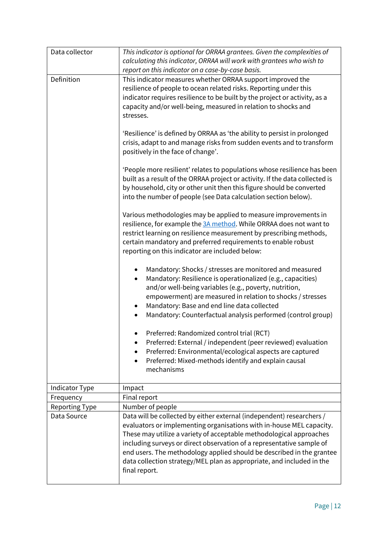| Data collector | This indicator is optional for ORRAA grantees. Given the complexities of<br>calculating this indicator, ORRAA will work with grantees who wish to<br>report on this indicator on a case-by-case basis.                                                                                                                                                                                                                                                           |  |  |
|----------------|------------------------------------------------------------------------------------------------------------------------------------------------------------------------------------------------------------------------------------------------------------------------------------------------------------------------------------------------------------------------------------------------------------------------------------------------------------------|--|--|
| Definition     | This indicator measures whether ORRAA support improved the<br>resilience of people to ocean related risks. Reporting under this<br>indicator requires resilience to be built by the project or activity, as a<br>capacity and/or well-being, measured in relation to shocks and<br>stresses.                                                                                                                                                                     |  |  |
|                | 'Resilience' is defined by ORRAA as 'the ability to persist in prolonged<br>crisis, adapt to and manage risks from sudden events and to transform<br>positively in the face of change'.                                                                                                                                                                                                                                                                          |  |  |
|                | 'People more resilient' relates to populations whose resilience has been<br>built as a result of the ORRAA project or activity. If the data collected is<br>by household, city or other unit then this figure should be converted<br>into the number of people (see Data calculation section below).                                                                                                                                                             |  |  |
|                | Various methodologies may be applied to measure improvements in<br>resilience, for example the 3A method. While ORRAA does not want to<br>restrict learning on resilience measurement by prescribing methods,<br>certain mandatory and preferred requirements to enable robust<br>reporting on this indicator are included below:                                                                                                                                |  |  |
|                | Mandatory: Shocks / stresses are monitored and measured<br>Mandatory: Resilience is operationalized (e.g., capacities)<br>and/or well-being variables (e.g., poverty, nutrition,<br>empowerment) are measured in relation to shocks / stresses<br>Mandatory: Base and end line data collected<br>Mandatory: Counterfactual analysis performed (control group)                                                                                                    |  |  |
|                | Preferred: Randomized control trial (RCT)<br>Preferred: External / independent (peer reviewed) evaluation<br>Preferred: Environmental/ecological aspects are captured<br>Preferred: Mixed-methods identify and explain causal<br>mechanisms                                                                                                                                                                                                                      |  |  |
| Indicator Type | Impact                                                                                                                                                                                                                                                                                                                                                                                                                                                           |  |  |
| Frequency      | Final report                                                                                                                                                                                                                                                                                                                                                                                                                                                     |  |  |
| Reporting Type | Number of people                                                                                                                                                                                                                                                                                                                                                                                                                                                 |  |  |
| Data Source    | Data will be collected by either external (independent) researchers /<br>evaluators or implementing organisations with in-house MEL capacity.<br>These may utilize a variety of acceptable methodological approaches<br>including surveys or direct observation of a representative sample of<br>end users. The methodology applied should be described in the grantee<br>data collection strategy/MEL plan as appropriate, and included in the<br>final report. |  |  |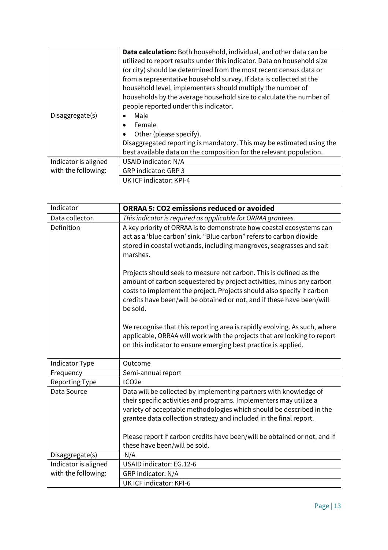|                      | Data calculation: Both household, individual, and other data can be     |
|----------------------|-------------------------------------------------------------------------|
|                      | utilized to report results under this indicator. Data on household size |
|                      | (or city) should be determined from the most recent census data or      |
|                      | from a representative household survey. If data is collected at the     |
|                      | household level, implementers should multiply the number of             |
|                      | households by the average household size to calculate the number of     |
|                      | people reported under this indicator.                                   |
| Disaggregate(s)      | Male                                                                    |
|                      | Female<br>$\bullet$                                                     |
|                      | Other (please specify).                                                 |
|                      | Disaggregated reporting is mandatory. This may be estimated using the   |
|                      | best available data on the composition for the relevant population.     |
| Indicator is aligned | USAID indicator: N/A                                                    |
| with the following:  | <b>GRP indicator: GRP 3</b>                                             |
|                      | UK ICF indicator: KPI-4                                                 |

| Indicator             | <b>ORRAA 5: CO2 emissions reduced or avoided</b>                                                                                                                                                                                                                                                                                                                   |
|-----------------------|--------------------------------------------------------------------------------------------------------------------------------------------------------------------------------------------------------------------------------------------------------------------------------------------------------------------------------------------------------------------|
| Data collector        | This indicator is required as applicable for ORRAA grantees.                                                                                                                                                                                                                                                                                                       |
| Definition            | A key priority of ORRAA is to demonstrate how coastal ecosystems can<br>act as a 'blue carbon' sink. "Blue carbon" refers to carbon dioxide<br>stored in coastal wetlands, including mangroves, seagrasses and salt<br>marshes.                                                                                                                                    |
|                       | Projects should seek to measure net carbon. This is defined as the<br>amount of carbon sequestered by project activities, minus any carbon<br>costs to implement the project. Projects should also specify if carbon<br>credits have been/will be obtained or not, and if these have been/will<br>be sold.                                                         |
|                       | We recognise that this reporting area is rapidly evolving. As such, where<br>applicable, ORRAA will work with the projects that are looking to report<br>on this indicator to ensure emerging best practice is applied.                                                                                                                                            |
| Indicator Type        | Outcome                                                                                                                                                                                                                                                                                                                                                            |
| Frequency             | Semi-annual report                                                                                                                                                                                                                                                                                                                                                 |
| <b>Reporting Type</b> | tCO <sub>2e</sub>                                                                                                                                                                                                                                                                                                                                                  |
| Data Source           | Data will be collected by implementing partners with knowledge of<br>their specific activities and programs. Implementers may utilize a<br>variety of acceptable methodologies which should be described in the<br>grantee data collection strategy and included in the final report.<br>Please report if carbon credits have been/will be obtained or not, and if |
|                       | these have been/will be sold.                                                                                                                                                                                                                                                                                                                                      |
| Disaggregate(s)       | N/A                                                                                                                                                                                                                                                                                                                                                                |
| Indicator is aligned  | <b>USAID indicator: EG.12-6</b>                                                                                                                                                                                                                                                                                                                                    |
| with the following:   | GRP indicator: N/A                                                                                                                                                                                                                                                                                                                                                 |
|                       | <b>UK ICF indicator: KPI-6</b>                                                                                                                                                                                                                                                                                                                                     |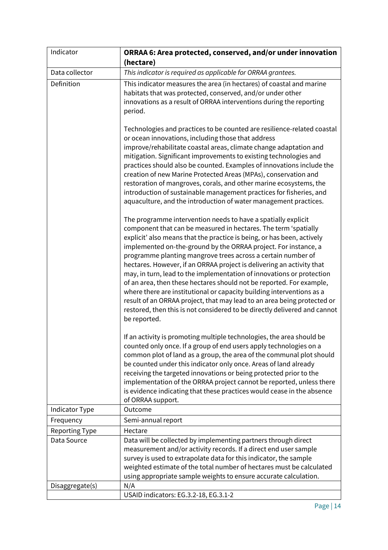| Indicator             | ORRAA 6: Area protected, conserved, and/or under innovation                                                                                                                                                                                                                                                                                                                                                                                                                                                                                                                                                                                                                                                                                                                                                              |
|-----------------------|--------------------------------------------------------------------------------------------------------------------------------------------------------------------------------------------------------------------------------------------------------------------------------------------------------------------------------------------------------------------------------------------------------------------------------------------------------------------------------------------------------------------------------------------------------------------------------------------------------------------------------------------------------------------------------------------------------------------------------------------------------------------------------------------------------------------------|
| Data collector        | (hectare)<br>This indicator is required as applicable for ORRAA grantees.                                                                                                                                                                                                                                                                                                                                                                                                                                                                                                                                                                                                                                                                                                                                                |
|                       | This indicator measures the area (in hectares) of coastal and marine                                                                                                                                                                                                                                                                                                                                                                                                                                                                                                                                                                                                                                                                                                                                                     |
| Definition            | habitats that was protected, conserved, and/or under other<br>innovations as a result of ORRAA interventions during the reporting<br>period.                                                                                                                                                                                                                                                                                                                                                                                                                                                                                                                                                                                                                                                                             |
|                       | Technologies and practices to be counted are resilience-related coastal<br>or ocean innovations, including those that address<br>improve/rehabilitate coastal areas, climate change adaptation and<br>mitigation. Significant improvements to existing technologies and<br>practices should also be counted. Examples of innovations include the<br>creation of new Marine Protected Areas (MPAs), conservation and<br>restoration of mangroves, corals, and other marine ecosystems, the<br>introduction of sustainable management practices for fisheries, and<br>aquaculture, and the introduction of water management practices.                                                                                                                                                                                     |
|                       | The programme intervention needs to have a spatially explicit<br>component that can be measured in hectares. The term 'spatially<br>explicit' also means that the practice is being, or has been, actively<br>implemented on-the-ground by the ORRAA project. For instance, a<br>programme planting mangrove trees across a certain number of<br>hectares. However, if an ORRAA project is delivering an activity that<br>may, in turn, lead to the implementation of innovations or protection<br>of an area, then these hectares should not be reported. For example,<br>where there are institutional or capacity building interventions as a<br>result of an ORRAA project, that may lead to an area being protected or<br>restored, then this is not considered to be directly delivered and cannot<br>be reported. |
|                       | If an activity is promoting multiple technologies, the area should be<br>counted only once. If a group of end users apply technologies on a<br>common plot of land as a group, the area of the communal plot should<br>be counted under this indicator only once. Areas of land already<br>receiving the targeted innovations or being protected prior to the<br>implementation of the ORRAA project cannot be reported, unless there<br>is evidence indicating that these practices would cease in the absence<br>of ORRAA support.                                                                                                                                                                                                                                                                                     |
| Indicator Type        | Outcome                                                                                                                                                                                                                                                                                                                                                                                                                                                                                                                                                                                                                                                                                                                                                                                                                  |
| Frequency             | Semi-annual report                                                                                                                                                                                                                                                                                                                                                                                                                                                                                                                                                                                                                                                                                                                                                                                                       |
| <b>Reporting Type</b> | Hectare                                                                                                                                                                                                                                                                                                                                                                                                                                                                                                                                                                                                                                                                                                                                                                                                                  |
| Data Source           | Data will be collected by implementing partners through direct<br>measurement and/or activity records. If a direct end user sample<br>survey is used to extrapolate data for this indicator, the sample<br>weighted estimate of the total number of hectares must be calculated<br>using appropriate sample weights to ensure accurate calculation.                                                                                                                                                                                                                                                                                                                                                                                                                                                                      |
| Disaggregate(s)       | N/A                                                                                                                                                                                                                                                                                                                                                                                                                                                                                                                                                                                                                                                                                                                                                                                                                      |
|                       | USAID indicators: EG.3.2-18, EG.3.1-2                                                                                                                                                                                                                                                                                                                                                                                                                                                                                                                                                                                                                                                                                                                                                                                    |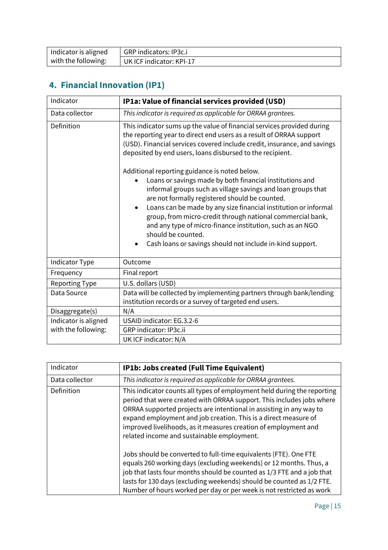| Indicator is aligned | GRP indicators: IP3c.i   |
|----------------------|--------------------------|
| with the following:  | UK ICF indicator: KPI-17 |

# **4. Financial Innovation (IP1)**

| Indicator             | IP1a: Value of financial services provided (USD)                                                                                                                                                                                                                                                                                                                                                                                                                                                             |
|-----------------------|--------------------------------------------------------------------------------------------------------------------------------------------------------------------------------------------------------------------------------------------------------------------------------------------------------------------------------------------------------------------------------------------------------------------------------------------------------------------------------------------------------------|
| Data collector        | This indicator is required as applicable for ORRAA grantees.                                                                                                                                                                                                                                                                                                                                                                                                                                                 |
| Definition            | This indicator sums up the value of financial services provided during<br>the reporting year to direct end users as a result of ORRAA support<br>(USD). Financial services covered include credit, insurance, and savings<br>deposited by end users, loans disbursed to the recipient.                                                                                                                                                                                                                       |
|                       | Additional reporting guidance is noted below.<br>Loans or savings made by both financial institutions and<br>informal groups such as village savings and loan groups that<br>are not formally registered should be counted.<br>Loans can be made by any size financial institution or informal<br>group, from micro-credit through national commercial bank,<br>and any type of micro-finance institution, such as an NGO<br>should be counted.<br>Cash loans or savings should not include in-kind support. |
| Indicator Type        | Outcome                                                                                                                                                                                                                                                                                                                                                                                                                                                                                                      |
| Frequency             | Final report                                                                                                                                                                                                                                                                                                                                                                                                                                                                                                 |
| <b>Reporting Type</b> | U.S. dollars (USD)                                                                                                                                                                                                                                                                                                                                                                                                                                                                                           |
| Data Source           | Data will be collected by implementing partners through bank/lending<br>institution records or a survey of targeted end users.                                                                                                                                                                                                                                                                                                                                                                               |
| Disaggregate(s)       | N/A                                                                                                                                                                                                                                                                                                                                                                                                                                                                                                          |
| Indicator is aligned  | USAID indicator: EG.3.2-6                                                                                                                                                                                                                                                                                                                                                                                                                                                                                    |
| with the following:   | GRP indicator: IP3c.ii                                                                                                                                                                                                                                                                                                                                                                                                                                                                                       |
|                       | UK ICF indicator: N/A                                                                                                                                                                                                                                                                                                                                                                                                                                                                                        |

| Indicator      | IP1b: Jobs created (Full Time Equivalent)                                                                                                                                                                                                                                                                                                                                                                   |
|----------------|-------------------------------------------------------------------------------------------------------------------------------------------------------------------------------------------------------------------------------------------------------------------------------------------------------------------------------------------------------------------------------------------------------------|
| Data collector | This indicator is required as applicable for ORRAA grantees.                                                                                                                                                                                                                                                                                                                                                |
| Definition     | This indicator counts all types of employment held during the reporting<br>period that were created with ORRAA support. This includes jobs where<br>ORRAA supported projects are intentional in assisting in any way to<br>expand employment and job creation. This is a direct measure of<br>improved livelihoods, as it measures creation of employment and<br>related income and sustainable employment. |
|                | Jobs should be converted to full-time equivalents (FTE). One FTE<br>equals 260 working days (excluding weekends) or 12 months. Thus, a<br>job that lasts four months should be counted as 1/3 FTE and a job that<br>lasts for 130 days (excluding weekends) should be counted as 1/2 FTE.<br>Number of hours worked per day or per week is not restricted as work                                           |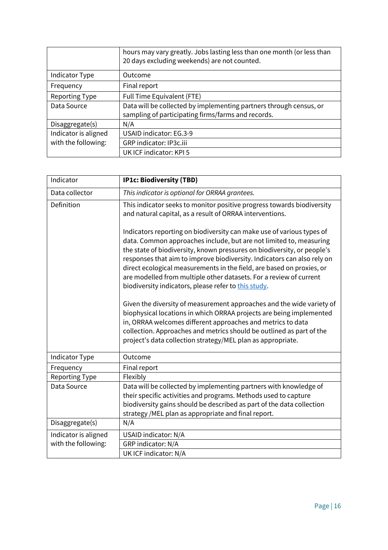|                      | hours may vary greatly. Jobs lasting less than one month (or less than<br>20 days excluding weekends) are not counted. |
|----------------------|------------------------------------------------------------------------------------------------------------------------|
| Indicator Type       | Outcome                                                                                                                |
| Frequency            | Final report                                                                                                           |
| Reporting Type       | Full Time Equivalent (FTE)                                                                                             |
| Data Source          | Data will be collected by implementing partners through census, or                                                     |
|                      | sampling of participating firms/farms and records.                                                                     |
| Disaggregate(s)      | N/A                                                                                                                    |
| Indicator is aligned | <b>USAID indicator: EG.3-9</b>                                                                                         |
| with the following:  | GRP indicator: IP3c.iii                                                                                                |
|                      | UK ICF indicator: KPI 5                                                                                                |

| Indicator             | <b>IP1c: Biodiversity (TBD)</b>                                                                                                                                                                                                                                                                                                                                                                                                                                                                          |
|-----------------------|----------------------------------------------------------------------------------------------------------------------------------------------------------------------------------------------------------------------------------------------------------------------------------------------------------------------------------------------------------------------------------------------------------------------------------------------------------------------------------------------------------|
| Data collector        | This indicator is optional for ORRAA grantees.                                                                                                                                                                                                                                                                                                                                                                                                                                                           |
| Definition            | This indicator seeks to monitor positive progress towards biodiversity<br>and natural capital, as a result of ORRAA interventions.                                                                                                                                                                                                                                                                                                                                                                       |
|                       | Indicators reporting on biodiversity can make use of various types of<br>data. Common approaches include, but are not limited to, measuring<br>the state of biodiversity, known pressures on biodiversity, or people's<br>responses that aim to improve biodiversity. Indicators can also rely on<br>direct ecological measurements in the field, are based on proxies, or<br>are modelled from multiple other datasets. For a review of current<br>biodiversity indicators, please refer to this study. |
|                       | Given the diversity of measurement approaches and the wide variety of<br>biophysical locations in which ORRAA projects are being implemented<br>in, ORRAA welcomes different approaches and metrics to data<br>collection. Approaches and metrics should be outlined as part of the<br>project's data collection strategy/MEL plan as appropriate.                                                                                                                                                       |
| Indicator Type        | Outcome                                                                                                                                                                                                                                                                                                                                                                                                                                                                                                  |
| Frequency             | Final report                                                                                                                                                                                                                                                                                                                                                                                                                                                                                             |
| <b>Reporting Type</b> | Flexibly                                                                                                                                                                                                                                                                                                                                                                                                                                                                                                 |
| Data Source           | Data will be collected by implementing partners with knowledge of<br>their specific activities and programs. Methods used to capture<br>biodiversity gains should be described as part of the data collection<br>strategy /MEL plan as appropriate and final report.                                                                                                                                                                                                                                     |
| Disaggregate(s)       | N/A                                                                                                                                                                                                                                                                                                                                                                                                                                                                                                      |
| Indicator is aligned  | USAID indicator: N/A                                                                                                                                                                                                                                                                                                                                                                                                                                                                                     |
| with the following:   | GRP indicator: N/A                                                                                                                                                                                                                                                                                                                                                                                                                                                                                       |
|                       | UK ICF indicator: N/A                                                                                                                                                                                                                                                                                                                                                                                                                                                                                    |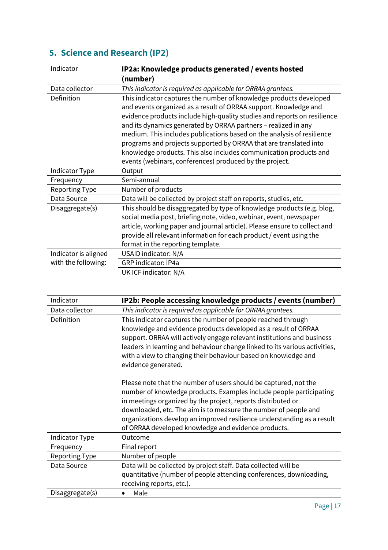# **5. Science and Research (IP2)**

| Indicator             | IP2a: Knowledge products generated / events hosted                        |
|-----------------------|---------------------------------------------------------------------------|
|                       | (number)                                                                  |
| Data collector        | This indicator is required as applicable for ORRAA grantees.              |
| Definition            | This indicator captures the number of knowledge products developed        |
|                       | and events organized as a result of ORRAA support. Knowledge and          |
|                       | evidence products include high-quality studies and reports on resilience  |
|                       | and its dynamics generated by ORRAA partners - realized in any            |
|                       | medium. This includes publications based on the analysis of resilience    |
|                       | programs and projects supported by ORRAA that are translated into         |
|                       | knowledge products. This also includes communication products and         |
|                       | events (webinars, conferences) produced by the project.                   |
| Indicator Type        | Output                                                                    |
| Frequency             | Semi-annual                                                               |
| <b>Reporting Type</b> | Number of products                                                        |
| Data Source           | Data will be collected by project staff on reports, studies, etc.         |
| Disaggregate(s)       | This should be disaggregated by type of knowledge products (e.g. blog,    |
|                       | social media post, briefing note, video, webinar, event, newspaper        |
|                       | article, working paper and journal article). Please ensure to collect and |
|                       | provide all relevant information for each product / event using the       |
|                       | format in the reporting template.                                         |
| Indicator is aligned  | USAID indicator: N/A                                                      |
| with the following:   | GRP indicator: IP4a                                                       |
|                       | UK ICF indicator: N/A                                                     |

| Indicator             | IP2b: People accessing knowledge products / events (number)                                                                                                                                                                                                                                                                                                                                                 |
|-----------------------|-------------------------------------------------------------------------------------------------------------------------------------------------------------------------------------------------------------------------------------------------------------------------------------------------------------------------------------------------------------------------------------------------------------|
| Data collector        | This indicator is required as applicable for ORRAA grantees.                                                                                                                                                                                                                                                                                                                                                |
| Definition            | This indicator captures the number of people reached through<br>knowledge and evidence products developed as a result of ORRAA<br>support. ORRAA will actively engage relevant institutions and business<br>leaders in learning and behaviour change linked to its various activities,<br>with a view to changing their behaviour based on knowledge and<br>evidence generated.                             |
|                       | Please note that the number of users should be captured, not the<br>number of knowledge products. Examples include people participating<br>in meetings organized by the project, reports distributed or<br>downloaded, etc. The aim is to measure the number of people and<br>organizations develop an improved resilience understanding as a result<br>of ORRAA developed knowledge and evidence products. |
| Indicator Type        | Outcome                                                                                                                                                                                                                                                                                                                                                                                                     |
| Frequency             | Final report                                                                                                                                                                                                                                                                                                                                                                                                |
| <b>Reporting Type</b> | Number of people                                                                                                                                                                                                                                                                                                                                                                                            |
| Data Source           | Data will be collected by project staff. Data collected will be<br>quantitative (number of people attending conferences, downloading,<br>receiving reports, etc.).                                                                                                                                                                                                                                          |
| Disaggregate(s)       | Male<br>٠                                                                                                                                                                                                                                                                                                                                                                                                   |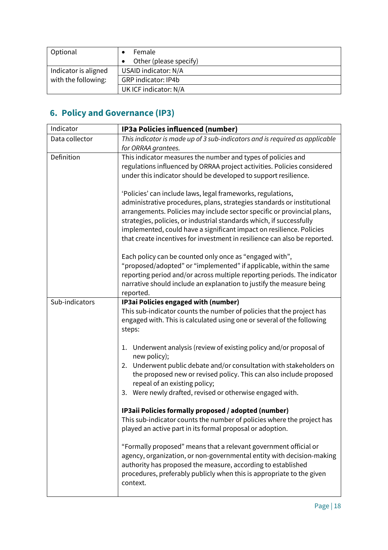| Optional             | Female<br>Other (please specify) |
|----------------------|----------------------------------|
|                      |                                  |
| Indicator is aligned | USAID indicator: N/A             |
| with the following:  | <b>GRP</b> indicator: IP4b       |
|                      | UK ICF indicator: N/A            |

# **6. Policy and Governance (IP3)**

| Indicator      | IP3a Policies influenced (number)                                                                                                     |
|----------------|---------------------------------------------------------------------------------------------------------------------------------------|
| Data collector | This indicator is made up of 3 sub-indicators and is required as applicable                                                           |
|                | for ORRAA grantees.                                                                                                                   |
| Definition     | This indicator measures the number and types of policies and                                                                          |
|                | regulations influenced by ORRAA project activities. Policies considered                                                               |
|                | under this indicator should be developed to support resilience.                                                                       |
|                | 'Policies' can include laws, legal frameworks, regulations,                                                                           |
|                | administrative procedures, plans, strategies standards or institutional                                                               |
|                | arrangements. Policies may include sector specific or provincial plans,                                                               |
|                | strategies, policies, or industrial standards which, if successfully                                                                  |
|                | implemented, could have a significant impact on resilience. Policies                                                                  |
|                | that create incentives for investment in resilience can also be reported.                                                             |
|                | Each policy can be counted only once as "engaged with",                                                                               |
|                | "proposed/adopted" or "implemented" if applicable, within the same                                                                    |
|                | reporting period and/or across multiple reporting periods. The indicator                                                              |
|                | narrative should include an explanation to justify the measure being                                                                  |
|                | reported.                                                                                                                             |
| Sub-indicators | IP3ai Policies engaged with (number)                                                                                                  |
|                | This sub-indicator counts the number of policies that the project has                                                                 |
|                | engaged with. This is calculated using one or several of the following                                                                |
|                | steps:                                                                                                                                |
|                | Underwent analysis (review of existing policy and/or proposal of<br>1.                                                                |
|                | new policy);                                                                                                                          |
|                | Underwent public debate and/or consultation with stakeholders on<br>2.                                                                |
|                | the proposed new or revised policy. This can also include proposed                                                                    |
|                | repeal of an existing policy;                                                                                                         |
|                | 3. Were newly drafted, revised or otherwise engaged with.                                                                             |
|                | IP3aii Policies formally proposed / adopted (number)                                                                                  |
|                | This sub-indicator counts the number of policies where the project has                                                                |
|                | played an active part in its formal proposal or adoption.                                                                             |
|                |                                                                                                                                       |
|                | "Formally proposed" means that a relevant government official or                                                                      |
|                | agency, organization, or non-governmental entity with decision-making                                                                 |
|                | authority has proposed the measure, according to established<br>procedures, preferably publicly when this is appropriate to the given |
|                | context.                                                                                                                              |
|                |                                                                                                                                       |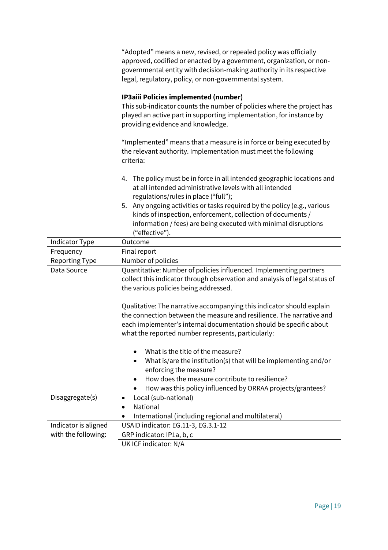|                       | "Adopted" means a new, revised, or repealed policy was officially                                                                          |
|-----------------------|--------------------------------------------------------------------------------------------------------------------------------------------|
|                       | approved, codified or enacted by a government, organization, or non-                                                                       |
|                       | governmental entity with decision-making authority in its respective                                                                       |
|                       | legal, regulatory, policy, or non-governmental system.                                                                                     |
|                       |                                                                                                                                            |
|                       | IP3aiii Policies implemented (number)                                                                                                      |
|                       | This sub-indicator counts the number of policies where the project has                                                                     |
|                       | played an active part in supporting implementation, for instance by                                                                        |
|                       | providing evidence and knowledge.                                                                                                          |
|                       |                                                                                                                                            |
|                       | "Implemented" means that a measure is in force or being executed by                                                                        |
|                       | the relevant authority. Implementation must meet the following                                                                             |
|                       | criteria:                                                                                                                                  |
|                       |                                                                                                                                            |
|                       | The policy must be in force in all intended geographic locations and<br>4.                                                                 |
|                       | at all intended administrative levels with all intended                                                                                    |
|                       | regulations/rules in place ("full");                                                                                                       |
|                       | Any ongoing activities or tasks required by the policy (e.g., various<br>5.<br>kinds of inspection, enforcement, collection of documents / |
|                       | information / fees) are being executed with minimal disruptions                                                                            |
|                       | ("effective").                                                                                                                             |
| Indicator Type        | Outcome                                                                                                                                    |
| Frequency             | Final report                                                                                                                               |
| <b>Reporting Type</b> | Number of policies                                                                                                                         |
| Data Source           | Quantitative: Number of policies influenced. Implementing partners                                                                         |
|                       | collect this indicator through observation and analysis of legal status of                                                                 |
|                       | the various policies being addressed.                                                                                                      |
|                       |                                                                                                                                            |
|                       | Qualitative: The narrative accompanying this indicator should explain                                                                      |
|                       | the connection between the measure and resilience. The narrative and                                                                       |
|                       | each implementer's internal documentation should be specific about                                                                         |
|                       | what the reported number represents, particularly:                                                                                         |
|                       |                                                                                                                                            |
|                       | What is the title of the measure?                                                                                                          |
|                       | What is/are the institution(s) that will be implementing and/or                                                                            |
|                       | enforcing the measure?                                                                                                                     |
|                       | How does the measure contribute to resilience?                                                                                             |
|                       | How was this policy influenced by ORRAA projects/grantees?                                                                                 |
| Disaggregate(s)       | Local (sub-national)<br>$\bullet$                                                                                                          |
|                       | National                                                                                                                                   |
|                       | International (including regional and multilateral)                                                                                        |
| Indicator is aligned  | USAID indicator: EG.11-3, EG.3.1-12                                                                                                        |
| with the following:   | GRP indicator: IP1a, b, c                                                                                                                  |
|                       | UK ICF indicator: N/A                                                                                                                      |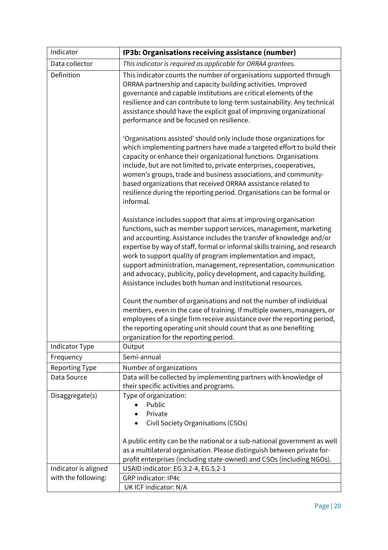| Indicator             | IP3b: Organisations receiving assistance (number)                                                                                                                                                                                                                                                                                                                                                                                                                                                                                                                       |
|-----------------------|-------------------------------------------------------------------------------------------------------------------------------------------------------------------------------------------------------------------------------------------------------------------------------------------------------------------------------------------------------------------------------------------------------------------------------------------------------------------------------------------------------------------------------------------------------------------------|
| Data collector        | This indicator is required as applicable for ORRAA grantees.                                                                                                                                                                                                                                                                                                                                                                                                                                                                                                            |
| Definition            | This indicator counts the number of organisations supported through<br>ORRAA partnership and capacity building activities. Improved<br>governance and capable institutions are critical elements of the<br>resilience and can contribute to long-term sustainability. Any technical<br>assistance should have the explicit goal of improving organizational<br>performance and be focused on resilience.                                                                                                                                                                |
|                       | 'Organisations assisted' should only include those organizations for<br>which implementing partners have made a targeted effort to build their<br>capacity or enhance their organizational functions. Organisations<br>include, but are not limited to, private enterprises, cooperatives,<br>women's groups, trade and business associations, and community-<br>based organizations that received ORRAA assistance related to<br>resilience during the reporting period. Organisations can be formal or<br>informal.                                                   |
|                       | Assistance includes support that aims at improving organisation<br>functions, such as member support services, management, marketing<br>and accounting. Assistance includes the transfer of knowledge and/or<br>expertise by way of staff, formal or informal skills training, and research<br>work to support quality of program implementation and impact,<br>support administration, management, representation, communication<br>and advocacy, publicity, policy development, and capacity building.<br>Assistance includes both human and institutional resources. |
|                       | Count the number of organisations and not the number of individual<br>members, even in the case of training. If multiple owners, managers, or<br>employees of a single firm receive assistance over the reporting period,<br>the reporting operating unit should count that as one benefiting<br>organization for the reporting period.                                                                                                                                                                                                                                 |
| Indicator Type        | Output                                                                                                                                                                                                                                                                                                                                                                                                                                                                                                                                                                  |
| Frequency             | Semi-annual                                                                                                                                                                                                                                                                                                                                                                                                                                                                                                                                                             |
| <b>Reporting Type</b> | Number of organizations                                                                                                                                                                                                                                                                                                                                                                                                                                                                                                                                                 |
| Data Source           | Data will be collected by implementing partners with knowledge of<br>their specific activities and programs.                                                                                                                                                                                                                                                                                                                                                                                                                                                            |
| Disaggregate(s)       | Type of organization:                                                                                                                                                                                                                                                                                                                                                                                                                                                                                                                                                   |
|                       | Public                                                                                                                                                                                                                                                                                                                                                                                                                                                                                                                                                                  |
|                       | Private                                                                                                                                                                                                                                                                                                                                                                                                                                                                                                                                                                 |
|                       | Civil Society Organisations (CSOs)                                                                                                                                                                                                                                                                                                                                                                                                                                                                                                                                      |
|                       | A public entity can be the national or a sub-national government as well                                                                                                                                                                                                                                                                                                                                                                                                                                                                                                |
|                       | as a multilateral organisation. Please distinguish between private for-                                                                                                                                                                                                                                                                                                                                                                                                                                                                                                 |
|                       | profit enterprises (including state-owned) and CSOs (including NGOs).                                                                                                                                                                                                                                                                                                                                                                                                                                                                                                   |
| Indicator is aligned  | USAID indicator: EG.3.2-4, EG.5.2-1                                                                                                                                                                                                                                                                                                                                                                                                                                                                                                                                     |
| with the following:   | <b>GRP</b> indicator: IP4c                                                                                                                                                                                                                                                                                                                                                                                                                                                                                                                                              |
|                       | UK ICF indicator: N/A                                                                                                                                                                                                                                                                                                                                                                                                                                                                                                                                                   |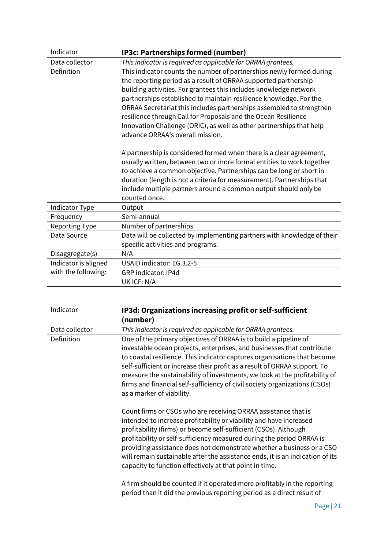| Indicator             | IP3c: Partnerships formed (number)                                                                                                                                                                                                                                                                                                                                                                                                                                                                                                       |
|-----------------------|------------------------------------------------------------------------------------------------------------------------------------------------------------------------------------------------------------------------------------------------------------------------------------------------------------------------------------------------------------------------------------------------------------------------------------------------------------------------------------------------------------------------------------------|
| Data collector        | This indicator is required as applicable for ORRAA grantees.                                                                                                                                                                                                                                                                                                                                                                                                                                                                             |
| Definition            | This indicator counts the number of partnerships newly formed during<br>the reporting period as a result of ORRAA supported partnership<br>building activities. For grantees this includes knowledge network<br>partnerships established to maintain resilience knowledge. For the<br>ORRAA Secretariat this includes partnerships assembled to strengthen<br>resilience through Call for Proposals and the Ocean Resilience<br>Innovation Challenge (ORIC), as well as other partnerships that help<br>advance ORRAA's overall mission. |
|                       | A partnership is considered formed when there is a clear agreement,<br>usually written, between two or more formal entities to work together<br>to achieve a common objective. Partnerships can be long or short in<br>duration (length is not a criteria for measurement). Partnerships that<br>include multiple partners around a common output should only be<br>counted once.                                                                                                                                                        |
| Indicator Type        | Output                                                                                                                                                                                                                                                                                                                                                                                                                                                                                                                                   |
| Frequency             | Semi-annual                                                                                                                                                                                                                                                                                                                                                                                                                                                                                                                              |
| <b>Reporting Type</b> | Number of partnerships                                                                                                                                                                                                                                                                                                                                                                                                                                                                                                                   |
| Data Source           | Data will be collected by implementing partners with knowledge of their<br>specific activities and programs.                                                                                                                                                                                                                                                                                                                                                                                                                             |
| Disaggregate(s)       | N/A                                                                                                                                                                                                                                                                                                                                                                                                                                                                                                                                      |
| Indicator is aligned  | USAID indicator: EG.3.2-5                                                                                                                                                                                                                                                                                                                                                                                                                                                                                                                |
| with the following:   | <b>GRP</b> indicator: IP4d                                                                                                                                                                                                                                                                                                                                                                                                                                                                                                               |
|                       | UK ICF: N/A                                                                                                                                                                                                                                                                                                                                                                                                                                                                                                                              |

| Indicator      | IP3d: Organizations increasing profit or self-sufficient                                                                                                                                                                                                                                                                                                                                                                                                                                               |
|----------------|--------------------------------------------------------------------------------------------------------------------------------------------------------------------------------------------------------------------------------------------------------------------------------------------------------------------------------------------------------------------------------------------------------------------------------------------------------------------------------------------------------|
|                | (number)                                                                                                                                                                                                                                                                                                                                                                                                                                                                                               |
| Data collector | This indicator is required as applicable for ORRAA grantees.                                                                                                                                                                                                                                                                                                                                                                                                                                           |
| Definition     | One of the primary objectives of ORRAA is to build a pipeline of<br>investable ocean projects, enterprises, and businesses that contribute<br>to coastal resilience. This indicator captures organisations that become<br>self-sufficient or increase their profit as a result of ORRAA support. To<br>measure the sustainability of investments, we look at the profitability of<br>firms and financial self-sufficiency of civil society organizations (CSOs)<br>as a marker of viability.           |
|                | Count firms or CSOs who are receiving ORRAA assistance that is<br>intended to increase profitability or viability and have increased<br>profitability (firms) or become self-sufficient (CSOs). Although<br>profitability or self-sufficiency measured during the period ORRAA is<br>providing assistance does not demonstrate whether a business or a CSO<br>will remain sustainable after the assistance ends, it is an indication of its<br>capacity to function effectively at that point in time. |
|                | A firm should be counted if it operated more profitably in the reporting<br>period than it did the previous reporting period as a direct result of                                                                                                                                                                                                                                                                                                                                                     |